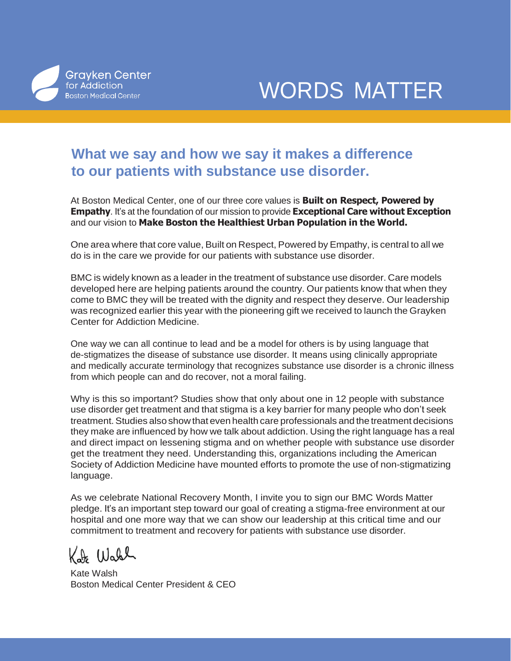

WORDS MATTER

## **What we say and how we say it makes a difference to our patients with substance use disorder.**

At Boston Medical Center, one of our three core values is **Built on Respect, Powered by Empathy**. It's at the foundation of our mission to provide **Exceptional Care without Exception**  and our vision to **Make Boston the Healthiest Urban Population in the World.**

One area where that core value, Built on Respect, Powered by Empathy, is central to all we do is in the care we provide for our patients with substance use disorder.

BMC is widely known as a leader in the treatment of substance use disorder. Care models developed here are helping patients around the country. Our patients know that when they come to BMC they will be treated with the dignity and respect they deserve. Our leadership was recognized earlier this year with the pioneering gift we received to launch the Grayken Center for Addiction Medicine.

One way we can all continue to lead and be a model for others is by using language that de-stigmatizes the disease of substance use disorder. It means using clinically appropriate and medically accurate terminology that recognizes substance use disorder is a chronic illness from which people can and do recover, not a moral failing.

Why is this so important? Studies show that only about one in 12 people with substance use disorder get treatment and that stigma is a key barrier for many people who don't seek treatment. Studies also show that even health care professionals and the treatment decisions they make are influenced by how we talk about addiction. Using the right language has a real and direct impact on lessening stigma and on whether people with substance use disorder get the treatment they need. Understanding this, organizations including the American Society of Addiction Medicine have mounted efforts to promote the use of non-stigmatizing language.

As we celebrate National Recovery Month, I invite you to sign our BMC Words Matter pledge. It's an important step toward our goal of creating a stigma-free environment at our hospital and one more way that we can show our leadership at this critical time and our commitment to treatment and recovery for patients with substance use disorder.

Kate Wall

Kate Walsh Boston Medical Center President & CEO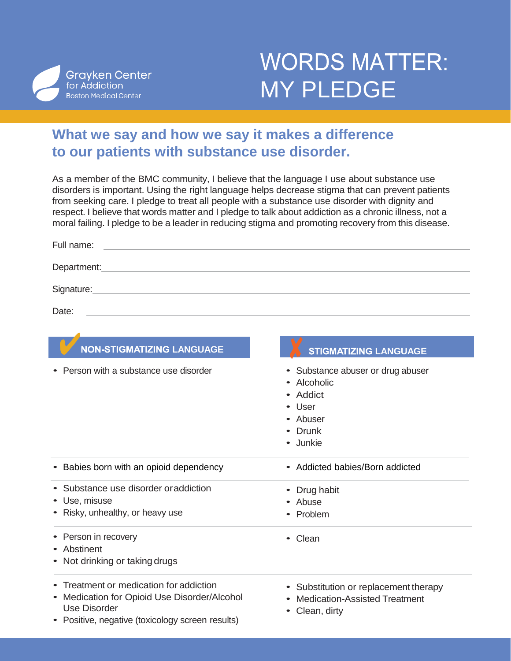

## **WORDS MATTER:** MY PLEDGE

## **What we say and how we say it makes a difference to our patients with substance use disorder.**

As a member of the BMC community, I believe that the language I use about substance use disorders is important. Using the right language helps decrease stigma that can prevent patients from seeking care. I pledge to treat all people with a substance use disorder with dignity and respect. I believe that words matter and I pledge to talk about addiction as a chronic illness, not a moral failing. I pledge to be a leader in reducing stigma and promoting recovery from this disease.

| Full name:                                                                                                         |                                                                                                   |
|--------------------------------------------------------------------------------------------------------------------|---------------------------------------------------------------------------------------------------|
| Department: Department:                                                                                            |                                                                                                   |
| Signature: <u>Contract Communication</u> Contract Communication Communication Communication Communication          |                                                                                                   |
| Date:<br><u> 1989 - Andrea Stadt Britain, amerikansk politiker (d. 1989)</u>                                       |                                                                                                   |
|                                                                                                                    |                                                                                                   |
| <b>NON-STIGMATIZING LANGUAGE</b>                                                                                   | <b>STIGMATIZING LANGUAGE</b>                                                                      |
| Person with a substance use disorder                                                                               | Substance abuser or drug abuser<br>Alcoholic<br>• Addict<br>User<br>• Abuser<br>Drunk<br>• Junkie |
| • Babies born with an opioid dependency                                                                            | • Addicted babies/Born addicted                                                                   |
| • Substance use disorder or addiction<br>• Use, misuse<br>• Risky, unhealthy, or heavy use<br>• Person in recovery | • Drug habit<br>Abuse<br>• Problem<br>• Clean                                                     |
| • Abstinent<br>• Not drinking or taking drugs                                                                      |                                                                                                   |
| • Treatment or medication for addiction<br>• Medication for Opioid Use Disorder/Alcohol<br><b>Use Disorder</b>     | • Substitution or replacement therapy<br><b>Medication-Assisted Treatment</b><br>Clean, dirty     |

• Positive, negative (toxicology screen results)